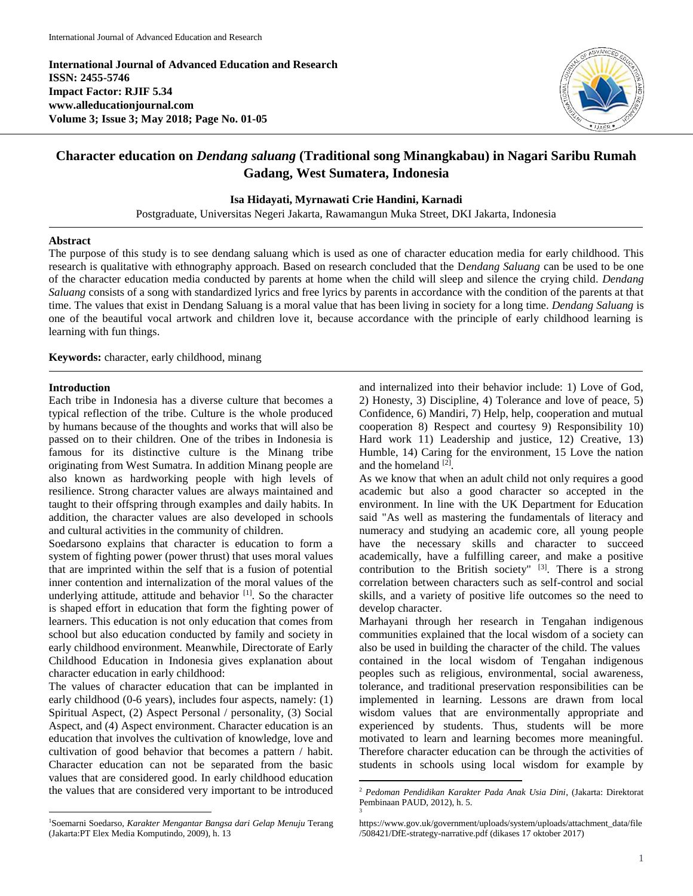**International Journal of Advanced Education and Research ISSN: 2455-5746 Impact Factor: RJIF 5.34 www.alleducationjournal.com Volume 3; Issue 3; May 2018; Page No. 01-05**



# **Character education on** *Dendang saluang* **(Traditional song Minangkabau) in Nagari Saribu Rumah Gadang, West Sumatera, Indonesia**

## **Isa Hidayati, Myrnawati Crie Handini, Karnadi**

Postgraduate, Universitas Negeri Jakarta, Rawamangun Muka Street, DKI Jakarta, Indonesia

## **Abstract**

The purpose of this study is to see dendang saluang which is used as one of character education media for early childhood. This research is qualitative with ethnography approach. Based on research concluded that the D*endang Saluang* can be used to be one of the character education media conducted by parents at home when the child will sleep and silence the crying child. *Dendang Saluang* consists of a song with standardized lyrics and free lyrics by parents in accordance with the condition of the parents at that time. The values that exist in Dendang Saluang is a moral value that has been living in society for a long time. *Dendang Saluang* is one of the beautiful vocal artwork and children love it, because accordance with the principle of early childhood learning is learning with fun things.

 $\ddot{\phantom{a}}$ 

**Keywords:** character, early childhood, minang

#### **Introduction**

 $\overline{a}$ 

Each tribe in Indonesia has a diverse culture that becomes a typical reflection of the tribe. Culture is the whole produced by humans because of the thoughts and works that will also be passed on to their children. One of the tribes in Indonesia is famous for its distinctive culture is the Minang tribe originating from West Sumatra. In addition Minang people are also known as hardworking people with high levels of resilience. Strong character values are always maintained and taught to their offspring through examples and daily habits. In addition, the character values are also developed in schools and cultural activities in the community of children.

Soedarsono explains that character is education to form a system of fighting power (power thrust) that uses moral values that are imprinted within the self that is a fusion of potential inner contention and internalization of the moral values of the underlying attitude, attitude and behavior  $[1]$ . So the character is shaped effort in education that form the fighting power of learners. This education is not only education that comes from school but also education conducted by family and society in early childhood environment. Meanwhile, Directorate of Early Childhood Education in Indonesia gives explanation about character education in early childhood:

The values of character education that can be implanted in early childhood (0-6 years), includes four aspects, namely: (1) Spiritual Aspect, (2) Aspect Personal / personality, (3) Social Aspect, and (4) Aspect environment. Character education is an education that involves the cultivation of knowledge, love and cultivation of good behavior that becomes a pattern / habit. Character education can not be separated from the basic values that are considered good. In early childhood education the values that are considered very important to be introduced and internalized into their behavior include: 1) Love of God, 2) Honesty, 3) Discipline, 4) Tolerance and love of peace, 5) Confidence, 6) Mandiri, 7) Help, help, cooperation and mutual cooperation 8) Respect and courtesy 9) Responsibility 10) Hard work 11) Leadership and justice, 12) Creative, 13) Humble, 14) Caring for the environment, 15 Love the nation and the homeland [2].

As we know that when an adult child not only requires a good academic but also a good character so accepted in the environment. In line with the UK Department for Education said "As well as mastering the fundamentals of literacy and numeracy and studying an academic core, all young people have the necessary skills and character to succeed academically, have a fulfilling career, and make a positive contribution to the British society"  $[3]$ . There is a strong correlation between characters such as self-control and social skills, and a variety of positive life outcomes so the need to develop character.

Marhayani through her research in Tengahan indigenous communities explained that the local wisdom of a society can also be used in building the character of the child. The values contained in the local wisdom of Tengahan indigenous peoples such as religious, environmental, social awareness, tolerance, and traditional preservation responsibilities can be implemented in learning. Lessons are drawn from local wisdom values that are environmentally appropriate and experienced by students. Thus, students will be more motivated to learn and learning becomes more meaningful. Therefore character education can be through the activities of students in schools using local wisdom for example by

<sup>1</sup>Soemarni Soedarso, *Karakter Mengantar Bangsa dari Gelap Menuju* Terang (Jakarta:PT Elex Media Komputindo, 2009), h. 13

<sup>2</sup> *Pedoman Pendidikan Karakter Pada Anak Usia Dini*, (Jakarta: Direktorat Pembinaan PAUD, 2012), h. 5. 3

[https://www.gov.uk/government/uploads/system/uploads/attachment\\_data/file](https://www.gov.uk/government/uploads/system/uploads/attachment_data/file/508421/DfE-strategy-narrative.pdf) [/508421/DfE-strategy-narrative.pdf](https://www.gov.uk/government/uploads/system/uploads/attachment_data/file/508421/DfE-strategy-narrative.pdf) (dikases 17 oktober 2017)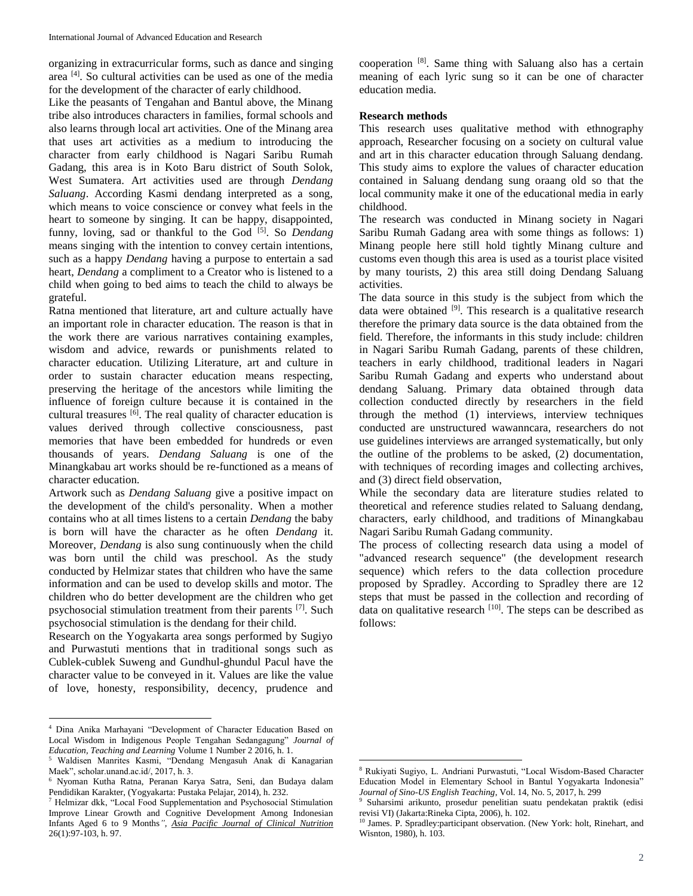organizing in extracurricular forms, such as dance and singing area [4] . So cultural activities can be used as one of the media for the development of the character of early childhood.

Like the peasants of Tengahan and Bantul above, the Minang tribe also introduces characters in families, formal schools and also learns through local art activities. One of the Minang area that uses art activities as a medium to introducing the character from early childhood is Nagari Saribu Rumah Gadang, this area is in Koto Baru district of South Solok, West Sumatera. Art activities used are through *Dendang Saluang*. According Kasmi dendang interpreted as a song, which means to voice conscience or convey what feels in the heart to someone by singing. It can be happy, disappointed, funny, loving, sad or thankful to the God<sup>[5]</sup>. So *Dendang* means singing with the intention to convey certain intentions, such as a happy *Dendang* having a purpose to entertain a sad heart, *Dendang* a compliment to a Creator who is listened to a child when going to bed aims to teach the child to always be grateful.

Ratna mentioned that literature, art and culture actually have an important role in character education. The reason is that in the work there are various narratives containing examples, wisdom and advice, rewards or punishments related to character education. Utilizing Literature, art and culture in order to sustain character education means respecting, preserving the heritage of the ancestors while limiting the influence of foreign culture because it is contained in the cultural treasures  $[6]$ . The real quality of character education is values derived through collective consciousness, past memories that have been embedded for hundreds or even thousands of years. *Dendang Saluang* is one of the Minangkabau art works should be re-functioned as a means of character education.

Artwork such as *Dendang Saluang* give a positive impact on the development of the child's personality. When a mother contains who at all times listens to a certain *Dendang* the baby is born will have the character as he often *Dendang* it. Moreover, *Dendang* is also sung continuously when the child was born until the child was preschool. As the study conducted by Helmizar states that children who have the same information and can be used to develop skills and motor. The children who do better development are the children who get psychosocial stimulation treatment from their parents [7]. Such psychosocial stimulation is the dendang for their child.

Research on the Yogyakarta area songs performed by Sugiyo and Purwastuti mentions that in traditional songs such as Cublek-cublek Suweng and Gundhul-ghundul Pacul have the character value to be conveyed in it. Values are like the value of love, honesty, responsibility, decency, prudence and

 $\overline{a}$ 

cooperation [8] . Same thing with Saluang also has a certain meaning of each lyric sung so it can be one of character education media.

### **Research methods**

This research uses qualitative method with ethnography approach, Researcher focusing on a society on cultural value and art in this character education through Saluang dendang. This study aims to explore the values of character education contained in Saluang dendang sung oraang old so that the local community make it one of the educational media in early childhood.

The research was conducted in Minang society in Nagari Saribu Rumah Gadang area with some things as follows: 1) Minang people here still hold tightly Minang culture and customs even though this area is used as a tourist place visited by many tourists, 2) this area still doing Dendang Saluang activities.

The data source in this study is the subject from which the data were obtained <sup>[9]</sup>. This research is a qualitative research therefore the primary data source is the data obtained from the field. Therefore, the informants in this study include: children in Nagari Saribu Rumah Gadang, parents of these children, teachers in early childhood, traditional leaders in Nagari Saribu Rumah Gadang and experts who understand about dendang Saluang. Primary data obtained through data collection conducted directly by researchers in the field through the method (1) interviews, interview techniques conducted are unstructured wawanncara, researchers do not use guidelines interviews are arranged systematically, but only the outline of the problems to be asked, (2) documentation, with techniques of recording images and collecting archives, and (3) direct field observation,

While the secondary data are literature studies related to theoretical and reference studies related to Saluang dendang, characters, early childhood, and traditions of Minangkabau Nagari Saribu Rumah Gadang community.

The process of collecting research data using a model of "advanced research sequence" (the development research sequence) which refers to the data collection procedure proposed by Spradley. According to Spradley there are 12 steps that must be passed in the collection and recording of data on qualitative research  $[10]$ . The steps can be described as follows:

 $\overline{a}$ 

<sup>4</sup> Dina Anika Marhayani "Development of Character Education Based on Local Wisdom in Indigenous People Tengahan Sedangagung" *Journal of Education, Teaching and Learning* Volume 1 Number 2 2016, h. 1.

<sup>5</sup> Waldisen Manrites Kasmi, "Dendang Mengasuh Anak di Kanagarian Maek", scholar.unand.ac.id/, 2017, h. 3.

<sup>6</sup> Nyoman Kutha Ratna, Peranan Karya Satra, Seni, dan Budaya dalam Pendidikan Karakter, (Yogyakarta: Pustaka Pelajar, 2014), h. 232.

<sup>7</sup> Helmizar dkk, "Local Food Supplementation and Psychosocial Stimulation Improve Linear Growth and Cognitive Development Among Indonesian Infants Aged 6 to 9 Months*", [Asia Pacific Journal of Clinical Nutrition](http://apjcn.nhri.org.tw/)* 26(1):97-103, h. 97.

<sup>8</sup> Rukiyati Sugiyo, L. Andriani Purwastuti, "Local Wisdom-Based Character Education Model in Elementary School in Bantul Yogyakarta Indonesia" *Journal of Sino-US English Teaching*, Vol. 14, No. 5, 2017, h. 299

<sup>9</sup> Suharsimi arikunto, prosedur penelitian suatu pendekatan praktik (edisi revisi VI) (Jakarta:Rineka Cipta, 2006), h. 102.

<sup>&</sup>lt;sup>10</sup> James. P. Spradley:participant observation. (New York: holt, Rinehart, and Wisnton, 1980), h. 103.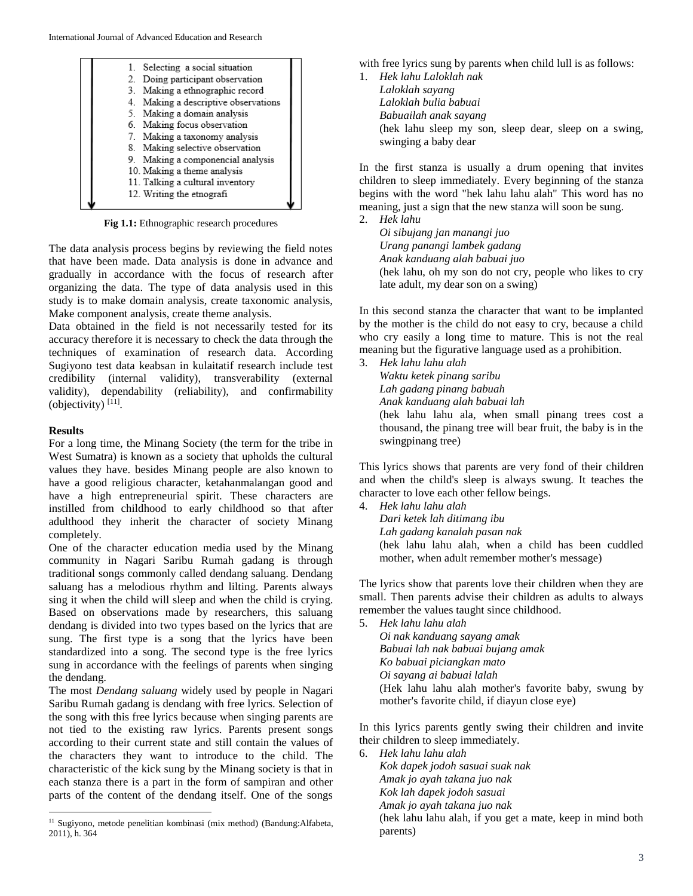

**Fig 1.1:** Ethnographic research procedures

The data analysis process begins by reviewing the field notes that have been made. Data analysis is done in advance and gradually in accordance with the focus of research after organizing the data. The type of data analysis used in this study is to make domain analysis, create taxonomic analysis, Make component analysis, create theme analysis.

Data obtained in the field is not necessarily tested for its accuracy therefore it is necessary to check the data through the techniques of examination of research data. According Sugiyono test data keabsan in kulaitatif research include test credibility (internal validity), transverability (external validity), dependability (reliability), and confirmability (objectivity) [11] .

## **Results**

 $\overline{a}$ 

For a long time, the Minang Society (the term for the tribe in West Sumatra) is known as a society that upholds the cultural values they have. besides Minang people are also known to have a good religious character, ketahanmalangan good and have a high entrepreneurial spirit. These characters are instilled from childhood to early childhood so that after adulthood they inherit the character of society Minang completely.

One of the character education media used by the Minang community in Nagari Saribu Rumah gadang is through traditional songs commonly called dendang saluang. Dendang saluang has a melodious rhythm and lilting. Parents always sing it when the child will sleep and when the child is crying. Based on observations made by researchers, this saluang dendang is divided into two types based on the lyrics that are sung. The first type is a song that the lyrics have been standardized into a song. The second type is the free lyrics sung in accordance with the feelings of parents when singing the dendang.

The most *Dendang saluang* widely used by people in Nagari Saribu Rumah gadang is dendang with free lyrics. Selection of the song with this free lyrics because when singing parents are not tied to the existing raw lyrics. Parents present songs according to their current state and still contain the values of the characters they want to introduce to the child. The characteristic of the kick sung by the Minang society is that in each stanza there is a part in the form of sampiran and other parts of the content of the dendang itself. One of the songs

with free lyrics sung by parents when child lull is as follows:

1. *Hek lahu Laloklah nak Laloklah sayang Laloklah bulia babuai Babuailah anak sayang* (hek lahu sleep my son, sleep dear, sleep on a swing, swinging a baby dear

In the first stanza is usually a drum opening that invites children to sleep immediately. Every beginning of the stanza begins with the word "hek lahu lahu alah" This word has no meaning, just a sign that the new stanza will soon be sung.

2. *Hek lahu*

*Oi sibujang jan manangi juo Urang panangi lambek gadang Anak kanduang alah babuai juo* (hek lahu, oh my son do not cry, people who likes to cry late adult, my dear son on a swing)

In this second stanza the character that want to be implanted by the mother is the child do not easy to cry, because a child who cry easily a long time to mature. This is not the real meaning but the figurative language used as a prohibition.

3. *Hek lahu lahu alah*

*Waktu ketek pinang saribu Lah gadang pinang babuah Anak kanduang alah babuai lah* (hek lahu lahu ala, when small pinang trees cost a thousand, the pinang tree will bear fruit, the baby is in the swingpinang tree)

This lyrics shows that parents are very fond of their children and when the child's sleep is always swung. It teaches the character to love each other fellow beings.

4. *Hek lahu lahu alah*

*Dari ketek lah ditimang ibu Lah gadang kanalah pasan nak* (hek lahu lahu alah, when a child has been cuddled mother, when adult remember mother's message)

The lyrics show that parents love their children when they are small. Then parents advise their children as adults to always remember the values taught since childhood.

5. *Hek lahu lahu alah*

*Oi nak kanduang sayang amak Babuai lah nak babuai bujang amak Ko babuai piciangkan mato Oi sayang ai babuai lalah* (Hek lahu lahu alah mother's favorite baby, swung by mother's favorite child, if diayun close eye)

In this lyrics parents gently swing their children and invite their children to sleep immediately.

6. *Hek lahu lahu alah Kok dapek jodoh sasuai suak nak Amak jo ayah takana juo nak Kok lah dapek jodoh sasuai Amak jo ayah takana juo nak* (hek lahu lahu alah, if you get a mate, keep in mind both parents)

<sup>11</sup> Sugiyono, metode penelitian kombinasi (mix method) (Bandung:Alfabeta, 2011), h. 364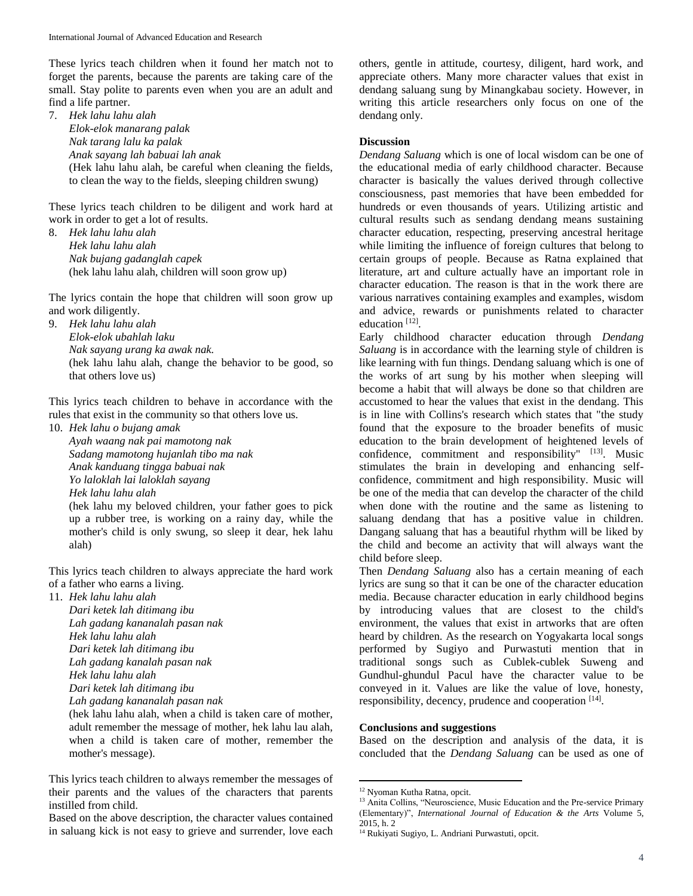These lyrics teach children when it found her match not to forget the parents, because the parents are taking care of the small. Stay polite to parents even when you are an adult and find a life partner.

7. *Hek lahu lahu alah Elok-elok manarang palak Nak tarang lalu ka palak Anak sayang lah babuai lah anak* (Hek lahu lahu alah, be careful when cleaning the fields, to clean the way to the fields, sleeping children swung)

These lyrics teach children to be diligent and work hard at work in order to get a lot of results.

8. *Hek lahu lahu alah Hek lahu lahu alah Nak bujang gadanglah capek*  (hek lahu lahu alah, children will soon grow up)

The lyrics contain the hope that children will soon grow up and work diligently.

9. *Hek lahu lahu alah Elok-elok ubahlah laku Nak sayang urang ka awak nak.* (hek lahu lahu alah, change the behavior to be good, so that others love us)

This lyrics teach children to behave in accordance with the rules that exist in the community so that others love us.

10. *Hek lahu o bujang amak Ayah waang nak pai mamotong nak Sadang mamotong hujanlah tibo ma nak Anak kanduang tingga babuai nak Yo laloklah lai laloklah sayang Hek lahu lahu alah* (hek lahu my beloved children, your father goes to pick up a rubber tree, is working on a rainy day, while the mother's child is only swung, so sleep it dear, hek lahu alah)

This lyrics teach children to always appreciate the hard work of a father who earns a living.

11. *Hek lahu lahu alah*

*Dari ketek lah ditimang ibu Lah gadang kananalah pasan nak Hek lahu lahu alah Dari ketek lah ditimang ibu Lah gadang kanalah pasan nak Hek lahu lahu alah Dari ketek lah ditimang ibu* 

(hek lahu lahu alah, when a child is taken care of mother, adult remember the message of mother, hek lahu lau alah, when a child is taken care of mother, remember the mother's message).

Based on the above description, the character values contained in saluang kick is not easy to grieve and surrender, love each others, gentle in attitude, courtesy, diligent, hard work, and appreciate others. Many more character values that exist in dendang saluang sung by Minangkabau society. However, in writing this article researchers only focus on one of the dendang only.

# **Discussion**

*Dendang Saluang* which is one of local wisdom can be one of the educational media of early childhood character. Because character is basically the values derived through collective consciousness, past memories that have been embedded for hundreds or even thousands of years. Utilizing artistic and cultural results such as sendang dendang means sustaining character education, respecting, preserving ancestral heritage while limiting the influence of foreign cultures that belong to certain groups of people. Because as Ratna explained that literature, art and culture actually have an important role in character education. The reason is that in the work there are various narratives containing examples and examples, wisdom and advice, rewards or punishments related to character education<sup>[12]</sup>.

Early childhood character education through *Dendang Saluang* is in accordance with the learning style of children is like learning with fun things. Dendang saluang which is one of the works of art sung by his mother when sleeping will become a habit that will always be done so that children are accustomed to hear the values that exist in the dendang. This is in line with Collins's research which states that "the study found that the exposure to the broader benefits of music education to the brain development of heightened levels of confidence, commitment and responsibility"  $[13]$ . Music stimulates the brain in developing and enhancing selfconfidence, commitment and high responsibility. Music will be one of the media that can develop the character of the child when done with the routine and the same as listening to saluang dendang that has a positive value in children. Dangang saluang that has a beautiful rhythm will be liked by the child and become an activity that will always want the child before sleep.

Then *Dendang Saluang* also has a certain meaning of each lyrics are sung so that it can be one of the character education media. Because character education in early childhood begins by introducing values that are closest to the child's environment, the values that exist in artworks that are often heard by children. As the research on Yogyakarta local songs performed by Sugiyo and Purwastuti mention that in traditional songs such as Cublek-cublek Suweng and Gundhul-ghundul Pacul have the character value to be conveyed in it. Values are like the value of love, honesty, responsibility, decency, prudence and cooperation [14].

# **Conclusions and suggestions**

Based on the description and analysis of the data, it is concluded that the *Dendang Saluang* can be used as one of

 $\overline{a}$ 

*Lah gadang kananalah pasan nak*

This lyrics teach children to always remember the messages of their parents and the values of the characters that parents instilled from child.

<sup>&</sup>lt;sup>12</sup> Nyoman Kutha Ratna, opcit.

<sup>&</sup>lt;sup>13</sup> Anita Collins, "Neuroscience, Music Education and the Pre-service Primary (Elementary)", *International Journal of Education & the Arts* Volume 5, 2015, h. 2

<sup>&</sup>lt;sup>14</sup> Rukiyati Sugiyo, L. Andriani Purwastuti, opcit.